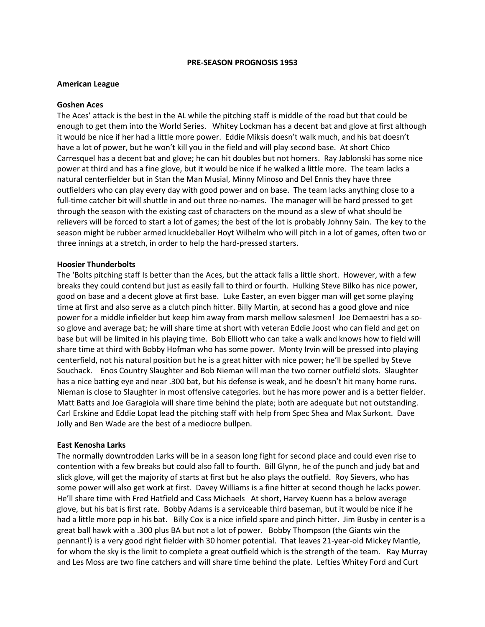#### **PRE-SEASON PROGNOSIS 1953**

### **American League**

# **Goshen Aces**

The Aces' attack is the best in the AL while the pitching staff is middle of the road but that could be enough to get them into the World Series. Whitey Lockman has a decent bat and glove at first although it would be nice if her had a little more power. Eddie Miksis doesn't walk much, and his bat doesn't have a lot of power, but he won't kill you in the field and will play second base. At short Chico Carresquel has a decent bat and glove; he can hit doubles but not homers. Ray Jablonski has some nice power at third and has a fine glove, but it would be nice if he walked a little more. The team lacks a natural centerfielder but in Stan the Man Musial, Minny Minoso and Del Ennis they have three outfielders who can play every day with good power and on base. The team lacks anything close to a full-time catcher bit will shuttle in and out three no-names. The manager will be hard pressed to get through the season with the existing cast of characters on the mound as a slew of what should be relievers will be forced to start a lot of games; the best of the lot is probably Johnny Sain. The key to the season might be rubber armed knuckleballer Hoyt Wilhelm who will pitch in a lot of games, often two or three innings at a stretch, in order to help the hard-pressed starters.

# **Hoosier Thunderbolts**

The 'Bolts pitching staff Is better than the Aces, but the attack falls a little short. However, with a few breaks they could contend but just as easily fall to third or fourth. Hulking Steve Bilko has nice power, good on base and a decent glove at first base. Luke Easter, an even bigger man will get some playing time at first and also serve as a clutch pinch hitter. Billy Martin, at second has a good glove and nice power for a middle infielder but keep him away from marsh mellow salesmen! Joe Demaestri has a soso glove and average bat; he will share time at short with veteran Eddie Joost who can field and get on base but will be limited in his playing time. Bob Elliott who can take a walk and knows how to field will share time at third with Bobby Hofman who has some power. Monty Irvin will be pressed into playing centerfield, not his natural position but he is a great hitter with nice power; he'll be spelled by Steve Souchack. Enos Country Slaughter and Bob Nieman will man the two corner outfield slots. Slaughter has a nice batting eye and near .300 bat, but his defense is weak, and he doesn't hit many home runs. Nieman is close to Slaughter in most offensive categories. but he has more power and is a better fielder. Matt Batts and Joe Garagiola will share time behind the plate; both are adequate but not outstanding. Carl Erskine and Eddie Lopat lead the pitching staff with help from Spec Shea and Max Surkont. Dave Jolly and Ben Wade are the best of a mediocre bullpen.

### **East Kenosha Larks**

The normally downtrodden Larks will be in a season long fight for second place and could even rise to contention with a few breaks but could also fall to fourth. Bill Glynn, he of the punch and judy bat and slick glove, will get the majority of starts at first but he also plays the outfield. Roy Sievers, who has some power will also get work at first. Davey Williams is a fine hitter at second though he lacks power. He'll share time with Fred Hatfield and Cass Michaels At short, Harvey Kuenn has a below average glove, but his bat is first rate. Bobby Adams is a serviceable third baseman, but it would be nice if he had a little more pop in his bat. Billy Cox is a nice infield spare and pinch hitter. Jim Busby in center is a great ball hawk with a .300 plus BA but not a lot of power. Bobby Thompson (the Giants win the pennant!) is a very good right fielder with 30 homer potential. That leaves 21-year-old Mickey Mantle, for whom the sky is the limit to complete a great outfield which is the strength of the team. Ray Murray and Les Moss are two fine catchers and will share time behind the plate. Lefties Whitey Ford and Curt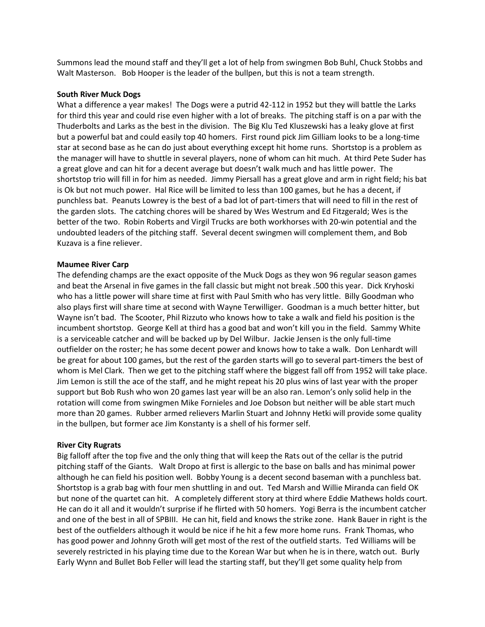Summons lead the mound staff and they'll get a lot of help from swingmen Bob Buhl, Chuck Stobbs and Walt Masterson. Bob Hooper is the leader of the bullpen, but this is not a team strength.

### **South River Muck Dogs**

What a difference a year makes! The Dogs were a putrid 42-112 in 1952 but they will battle the Larks for third this year and could rise even higher with a lot of breaks. The pitching staff is on a par with the Thuderbolts and Larks as the best in the division. The Big Klu Ted Kluszewski has a leaky glove at first but a powerful bat and could easily top 40 homers. First round pick Jim Gilliam looks to be a long-time star at second base as he can do just about everything except hit home runs. Shortstop is a problem as the manager will have to shuttle in several players, none of whom can hit much. At third Pete Suder has a great glove and can hit for a decent average but doesn't walk much and has little power. The shortstop trio will fill in for him as needed. Jimmy Piersall has a great glove and arm in right field; his bat is Ok but not much power. Hal Rice will be limited to less than 100 games, but he has a decent, if punchless bat. Peanuts Lowrey is the best of a bad lot of part-timers that will need to fill in the rest of the garden slots. The catching chores will be shared by Wes Westrum and Ed Fitzgerald; Wes is the better of the two. Robin Roberts and Virgil Trucks are both workhorses with 20-win potential and the undoubted leaders of the pitching staff. Several decent swingmen will complement them, and Bob Kuzava is a fine reliever.

# **Maumee River Carp**

The defending champs are the exact opposite of the Muck Dogs as they won 96 regular season games and beat the Arsenal in five games in the fall classic but might not break .500 this year. Dick Kryhoski who has a little power will share time at first with Paul Smith who has very little. Billy Goodman who also plays first will share time at second with Wayne Terwilliger. Goodman is a much better hitter, but Wayne isn't bad. The Scooter, Phil Rizzuto who knows how to take a walk and field his position is the incumbent shortstop. George Kell at third has a good bat and won't kill you in the field. Sammy White is a serviceable catcher and will be backed up by Del Wilbur. Jackie Jensen is the only full-time outfielder on the roster; he has some decent power and knows how to take a walk. Don Lenhardt will be great for about 100 games, but the rest of the garden starts will go to several part-timers the best of whom is Mel Clark. Then we get to the pitching staff where the biggest fall off from 1952 will take place. Jim Lemon is still the ace of the staff, and he might repeat his 20 plus wins of last year with the proper support but Bob Rush who won 20 games last year will be an also ran. Lemon's only solid help in the rotation will come from swingmen Mike Fornieles and Joe Dobson but neither will be able start much more than 20 games. Rubber armed relievers Marlin Stuart and Johnny Hetki will provide some quality in the bullpen, but former ace Jim Konstanty is a shell of his former self.

# **River City Rugrats**

Big falloff after the top five and the only thing that will keep the Rats out of the cellar is the putrid pitching staff of the Giants. Walt Dropo at first is allergic to the base on balls and has minimal power although he can field his position well. Bobby Young is a decent second baseman with a punchless bat. Shortstop is a grab bag with four men shuttling in and out. Ted Marsh and Willie Miranda can field OK but none of the quartet can hit. A completely different story at third where Eddie Mathews holds court. He can do it all and it wouldn't surprise if he flirted with 50 homers. Yogi Berra is the incumbent catcher and one of the best in all of SPBIII. He can hit, field and knows the strike zone. Hank Bauer in right is the best of the outfielders although it would be nice if he hit a few more home runs. Frank Thomas, who has good power and Johnny Groth will get most of the rest of the outfield starts. Ted Williams will be severely restricted in his playing time due to the Korean War but when he is in there, watch out. Burly Early Wynn and Bullet Bob Feller will lead the starting staff, but they'll get some quality help from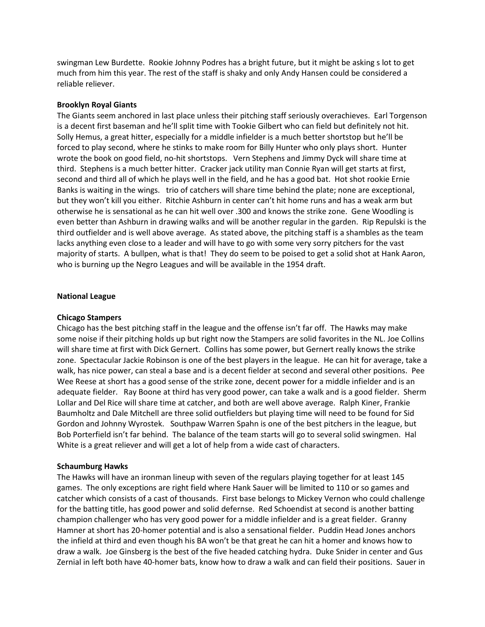swingman Lew Burdette. Rookie Johnny Podres has a bright future, but it might be asking s lot to get much from him this year. The rest of the staff is shaky and only Andy Hansen could be considered a reliable reliever.

### **Brooklyn Royal Giants**

The Giants seem anchored in last place unless their pitching staff seriously overachieves. Earl Torgenson is a decent first baseman and he'll split time with Tookie Gilbert who can field but definitely not hit. Solly Hemus, a great hitter, especially for a middle infielder is a much better shortstop but he'll be forced to play second, where he stinks to make room for Billy Hunter who only plays short. Hunter wrote the book on good field, no-hit shortstops. Vern Stephens and Jimmy Dyck will share time at third. Stephens is a much better hitter. Cracker jack utility man Connie Ryan will get starts at first, second and third all of which he plays well in the field, and he has a good bat. Hot shot rookie Ernie Banks is waiting in the wings. trio of catchers will share time behind the plate; none are exceptional, but they won't kill you either. Ritchie Ashburn in center can't hit home runs and has a weak arm but otherwise he is sensational as he can hit well over .300 and knows the strike zone. Gene Woodling is even better than Ashburn in drawing walks and will be another regular in the garden. Rip Repulski is the third outfielder and is well above average. As stated above, the pitching staff is a shambles as the team lacks anything even close to a leader and will have to go with some very sorry pitchers for the vast majority of starts. A bullpen, what is that! They do seem to be poised to get a solid shot at Hank Aaron, who is burning up the Negro Leagues and will be available in the 1954 draft.

#### **National League**

### **Chicago Stampers**

Chicago has the best pitching staff in the league and the offense isn't far off. The Hawks may make some noise if their pitching holds up but right now the Stampers are solid favorites in the NL. Joe Collins will share time at first with Dick Gernert. Collins has some power, but Gernert really knows the strike zone. Spectacular Jackie Robinson is one of the best players in the league. He can hit for average, take a walk, has nice power, can steal a base and is a decent fielder at second and several other positions. Pee Wee Reese at short has a good sense of the strike zone, decent power for a middle infielder and is an adequate fielder. Ray Boone at third has very good power, can take a walk and is a good fielder. Sherm Lollar and Del Rice will share time at catcher, and both are well above average. Ralph Kiner, Frankie Baumholtz and Dale Mitchell are three solid outfielders but playing time will need to be found for Sid Gordon and Johnny Wyrostek. Southpaw Warren Spahn is one of the best pitchers in the league, but Bob Porterfield isn't far behind. The balance of the team starts will go to several solid swingmen. Hal White is a great reliever and will get a lot of help from a wide cast of characters.

#### **Schaumburg Hawks**

The Hawks will have an ironman lineup with seven of the regulars playing together for at least 145 games. The only exceptions are right field where Hank Sauer will be limited to 110 or so games and catcher which consists of a cast of thousands. First base belongs to Mickey Vernon who could challenge for the batting title, has good power and solid defernse. Red Schoendist at second is another batting champion challenger who has very good power for a middle infielder and is a great fielder. Granny Hamner at short has 20-homer potential and is also a sensational fielder. Puddin Head Jones anchors the infield at third and even though his BA won't be that great he can hit a homer and knows how to draw a walk. Joe Ginsberg is the best of the five headed catching hydra. Duke Snider in center and Gus Zernial in left both have 40-homer bats, know how to draw a walk and can field their positions. Sauer in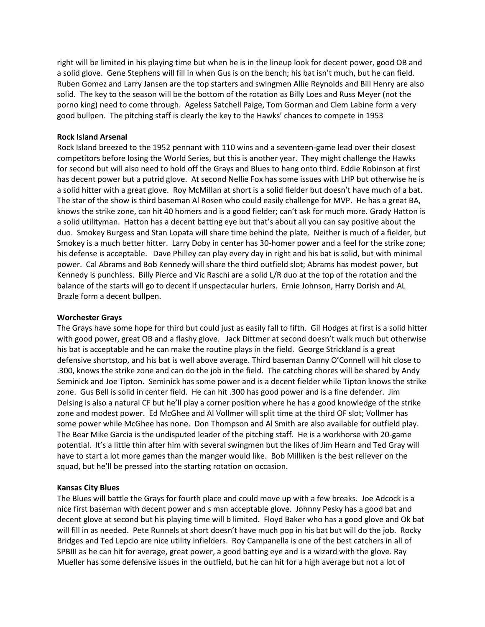right will be limited in his playing time but when he is in the lineup look for decent power, good OB and a solid glove. Gene Stephens will fill in when Gus is on the bench; his bat isn't much, but he can field. Ruben Gomez and Larry Jansen are the top starters and swingmen Allie Reynolds and Bill Henry are also solid. The key to the season will be the bottom of the rotation as Billy Loes and Russ Meyer (not the porno king) need to come through. Ageless Satchell Paige, Tom Gorman and Clem Labine form a very good bullpen. The pitching staff is clearly the key to the Hawks' chances to compete in 1953

### **Rock Island Arsenal**

Rock Island breezed to the 1952 pennant with 110 wins and a seventeen-game lead over their closest competitors before losing the World Series, but this is another year. They might challenge the Hawks for second but will also need to hold off the Grays and Blues to hang onto third. Eddie Robinson at first has decent power but a putrid glove. At second Nellie Fox has some issues with LHP but otherwise he is a solid hitter with a great glove. Roy McMillan at short is a solid fielder but doesn't have much of a bat. The star of the show is third baseman Al Rosen who could easily challenge for MVP. He has a great BA, knows the strike zone, can hit 40 homers and is a good fielder; can't ask for much more. Grady Hatton is a solid utilityman. Hatton has a decent batting eye but that's about all you can say positive about the duo. Smokey Burgess and Stan Lopata will share time behind the plate. Neither is much of a fielder, but Smokey is a much better hitter. Larry Doby in center has 30-homer power and a feel for the strike zone; his defense is acceptable. Dave Philley can play every day in right and his bat is solid, but with minimal power. Cal Abrams and Bob Kennedy will share the third outfield slot; Abrams has modest power, but Kennedy is punchless. Billy Pierce and Vic Raschi are a solid L/R duo at the top of the rotation and the balance of the starts will go to decent if unspectacular hurlers. Ernie Johnson, Harry Dorish and AL Brazle form a decent bullpen.

### **Worchester Grays**

The Grays have some hope for third but could just as easily fall to fifth. Gil Hodges at first is a solid hitter with good power, great OB and a flashy glove. Jack Dittmer at second doesn't walk much but otherwise his bat is acceptable and he can make the routine plays in the field. George Strickland is a great defensive shortstop, and his bat is well above average. Third baseman Danny O'Connell will hit close to .300, knows the strike zone and can do the job in the field. The catching chores will be shared by Andy Seminick and Joe Tipton. Seminick has some power and is a decent fielder while Tipton knows the strike zone. Gus Bell is solid in center field. He can hit .300 has good power and is a fine defender. Jim Delsing is also a natural CF but he'll play a corner position where he has a good knowledge of the strike zone and modest power. Ed McGhee and Al Vollmer will split time at the third OF slot; Vollmer has some power while McGhee has none. Don Thompson and Al Smith are also available for outfield play. The Bear Mike Garcia is the undisputed leader of the pitching staff. He is a workhorse with 20-game potential. It's a little thin after him with several swingmen but the likes of Jim Hearn and Ted Gray will have to start a lot more games than the manger would like. Bob Milliken is the best reliever on the squad, but he'll be pressed into the starting rotation on occasion.

# **Kansas City Blues**

The Blues will battle the Grays for fourth place and could move up with a few breaks. Joe Adcock is a nice first baseman with decent power and s msn acceptable glove. Johnny Pesky has a good bat and decent glove at second but his playing time will b limited. Floyd Baker who has a good glove and Ok bat will fill in as needed. Pete Runnels at short doesn't have much pop in his bat but will do the job. Rocky Bridges and Ted Lepcio are nice utility infielders. Roy Campanella is one of the best catchers in all of SPBIII as he can hit for average, great power, a good batting eye and is a wizard with the glove. Ray Mueller has some defensive issues in the outfield, but he can hit for a high average but not a lot of